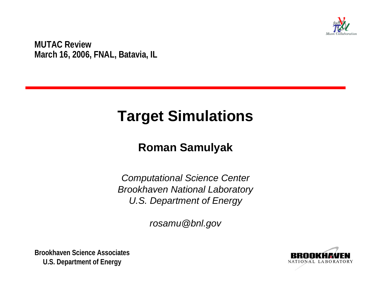

**MUTAC Review March 16, 2006, FNAL, Batavia, IL**

# **Target Simulations**

#### **Roman Samulyak**

*Computational Science Center Brookhaven National Laboratory U.S. Department of Energy*

*rosamu@bnl.gov*

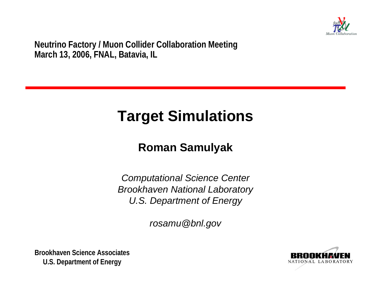

**Neutrino Factory / Muon Collider Collaboration Meeting March 13, 2006, FNAL, Batavia, IL**

# **Target Simulations**

#### **Roman Samulyak**

*Computational Science Center Brookhaven National Laboratory U.S. Department of Energy*

*rosamu@bnl.gov*

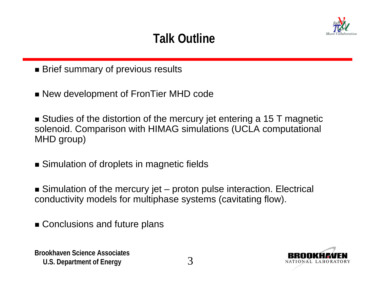

### **Talk Outline**

- Brief summary of previous results
- New development of FronTier MHD code

■ Studies of the distortion of the mercury jet entering a 15 T magnetic solenoid. Comparison with HIMAG simulations (UCLA computational MHD group)

- Simulation of droplets in magnetic fields
- Simulation of the mercury jet proton pulse interaction. Electrical conductivity models for multiphase systems (cavitating flow).
- Conclusions and future plans

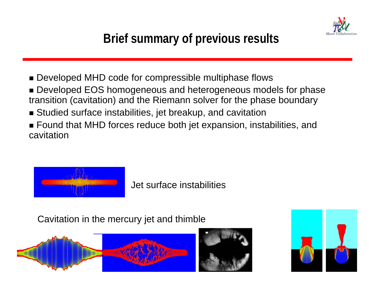

## **Brief summary of previous results**

- Developed MHD code for compressible multiphase flows
- Developed EOS homogeneous and heterogeneous models for phase transition (cavitation) and the Riemann solver for the phase boundary
- Studied surface instabilities, jet breakup, and cavitation
- Found that MHD forces reduce both jet expansion, instabilities, and cavitation



Jet surface instabilities

Cavitation in the mercury jet and thimble





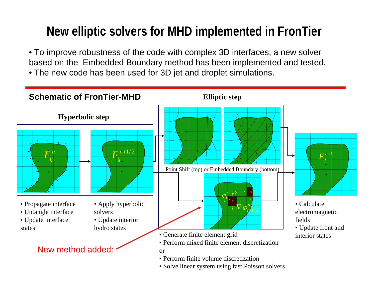## **New elliptic solvers for MHD implemented in FronTier**

• To improve robustness of the code with complex 3D interfaces, a new solver based on the Embedded Boundary method has been implemented and tested.

• The new code has been used for 3D jet and droplet simulations.

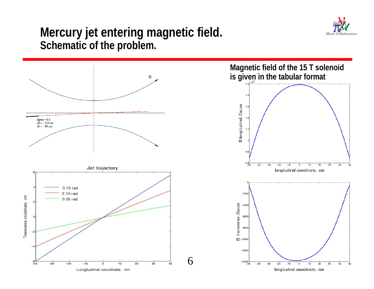

#### **Mercury jet entering magnetic field. Schematic of the problem.**

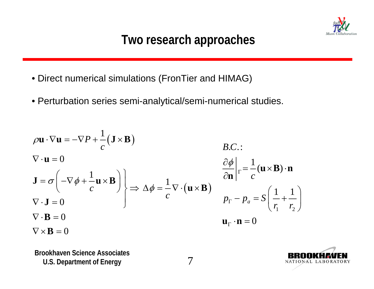

### **Two research approaches**

- Direct numerical simulations (FronTier and HIMAG)
- Perturbation series semi-analytical/semi-numerical studies.

$$
\rho \mathbf{u} \cdot \nabla \mathbf{u} = -\nabla P + \frac{1}{c} (\mathbf{J} \times \mathbf{B})
$$
  
\n
$$
\nabla \cdot \mathbf{u} = 0
$$
  
\n
$$
\mathbf{J} = \sigma \left( -\nabla \phi + \frac{1}{c} \mathbf{u} \times \mathbf{B} \right)
$$
  
\n
$$
\nabla \cdot \mathbf{J} = 0
$$
  
\n
$$
\nabla \cdot \mathbf{J} = 0
$$
  
\n
$$
\nabla \cdot \mathbf{B} = 0
$$
  
\n
$$
\nabla \times \mathbf{B} = 0
$$
  
\n
$$
\nabla \times \mathbf{B} = 0
$$
  
\n
$$
\nabla \times \mathbf{B} = 0
$$
  
\n
$$
\nabla \times \mathbf{B} = 0
$$
  
\n
$$
\nabla \times \mathbf{B} = 0
$$
  
\n
$$
\nabla \times \mathbf{B} = 0
$$
  
\n
$$
\nabla \times \mathbf{B} = 0
$$
  
\n
$$
\nabla \times \mathbf{B} = 0
$$
  
\n
$$
\nabla \times \mathbf{B} = 0
$$
  
\n
$$
\nabla \times \mathbf{B} = 0
$$
  
\n
$$
\nabla \times \mathbf{B} = 0
$$
  
\n
$$
\nabla \times \mathbf{B} = 0
$$
  
\n
$$
\nabla \times \mathbf{B} = 0
$$
  
\n
$$
\nabla \times \mathbf{B} = 0
$$
  
\n
$$
\nabla \times \mathbf{B} = 0
$$
  
\n
$$
\nabla \times \mathbf{B} = 0
$$
  
\n
$$
\nabla \times \mathbf{B} = 0
$$
  
\n
$$
\nabla \times \mathbf{B} = 0
$$
  
\n
$$
\nabla \times \mathbf{B} = 0
$$
  
\n
$$
\nabla \times \mathbf{B} = 0
$$
  
\n
$$
\nabla \times \mathbf{B} = 0
$$
  
\n<

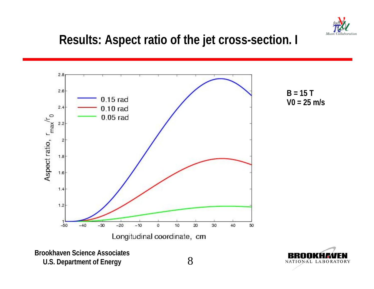

#### **Results: Aspect ratio of the jet cross-section. I**



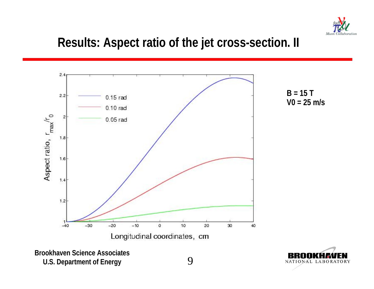

#### **Results: Aspect ratio of the jet cross-section. II**



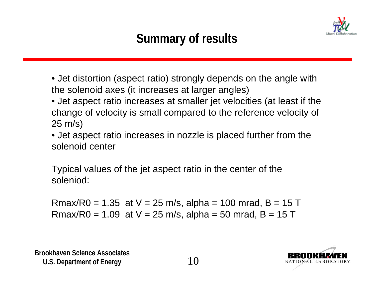

## **Summary of results**

- Jet distortion (aspect ratio) strongly depends on the angle with the solenoid axes (it increases at larger angles)
- Jet aspect ratio increases at smaller jet velocities (at least if the change of velocity is small compared to the reference velocity of 25 m/s)
- Jet aspect ratio increases in nozzle is placed further from the solenoid center

Typical values of the jet aspect ratio in the center of the soleniod:

Rmax/R0 = 1.35 at  $V = 25$  m/s, alpha = 100 mrad, B = 15 T Rmax/R0 = 1.09 at  $V = 25$  m/s, alpha = 50 mrad, B = 15 T

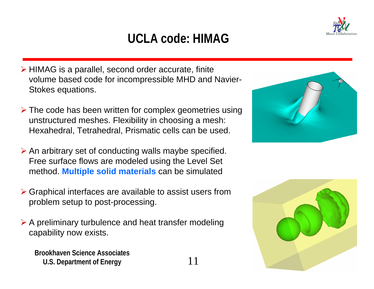## **UCLA code: HIMAG**

- ¾ HIMAG is a parallel, second order accurate, finite volume based code for incompressible MHD and Navier-Stokes equations.
- ¾ The code has been written for complex geometries using unstructured meshes. Flexibility in choosing a mesh: Hexahedral, Tetrahedral, Prismatic cells can be used.
- $\triangleright$  An arbitrary set of conducting walls maybe specified. Free surface flows are modeled using the Level Set method. **Multiple solid materials** can be simulated
- ¾ Graphical interfaces are available to assist users from problem setup to post-processing.
- $\triangleright$  A preliminary turbulence and heat transfer modeling capability now exists.





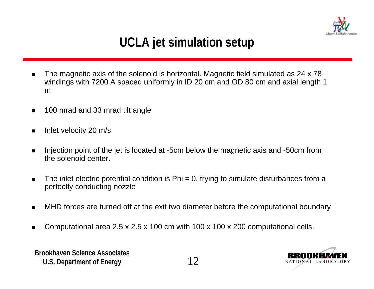

## **UCLA jet simulation setup**

- $\blacksquare$  The magnetic axis of the solenoid is horizontal. Magnetic field simulated as 24 x 78 windings with 7200 A spaced uniformly in ID 20 cm and OD 80 cm and axial length 1 m
- $\blacksquare$ 100 mrad and 33 mrad tilt angle
- $\blacksquare$ Inlet velocity 20 m/s
- $\blacksquare$  Injection point of the jet is located at -5cm below the magnetic axis and -50cm from the solenoid center.
- $\blacksquare$ The inlet electric potential condition is  $Phi = 0$ , trying to simulate disturbances from a perfectly conducting nozzle
- $\blacksquare$ MHD forces are turned off at the exit two diameter before the computational boundary
- ▉ Computational area 2.5 x 2.5 x 100 cm with 100 x 100 x 200 computational cells.

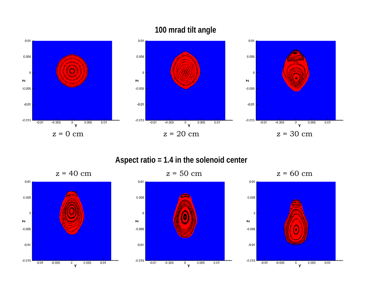#### **100 mrad tilt angle**



#### **Aspect ratio = 1.4 in the solenoid center**

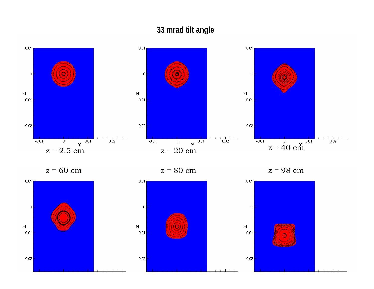#### **33 mrad tilt angle**



z = 60 cm

 $z = 80$  cm

z = 98 cm



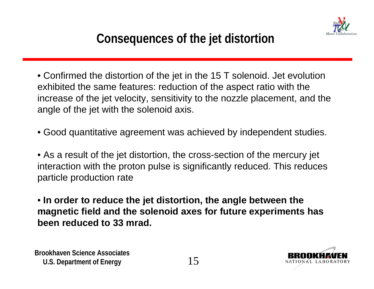

• Confirmed the distortion of the jet in the 15 T solenoid. Jet evolution exhibited the same features: reduction of the aspect ratio with the increase of the jet velocity, sensitivity to the nozzle placement, and the angle of the jet with the solenoid axis.

• Good quantitative agreement was achieved by independent studies.

• As a result of the jet distortion, the cross-section of the mercury jet interaction with the proton pulse is significantly reduced. This reduces particle production rate

• **In order to reduce the jet distortion, the angle between the magnetic field and the solenoid axes for future experiments has been reduced to 33 mrad.** 

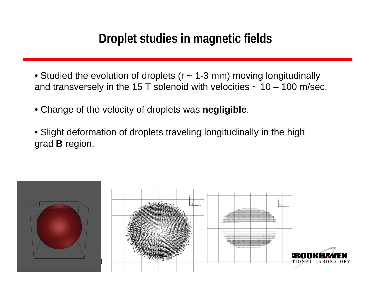#### **Droplet studies in magnetic fields**

- Studied the evolution of droplets (r ~ 1-3 mm) moving longitudinally and transversely in the 15 T solenoid with velocities  $\sim 10 - 100$  m/sec.
- Change of the velocity of droplets was **negligible**.
- Slight deformation of droplets traveling longitudinally in the high grad **B** region.

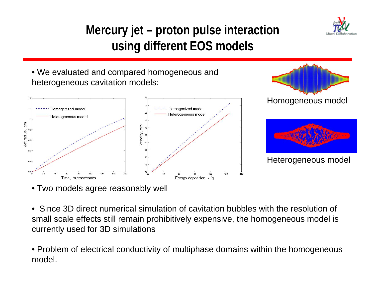







• Two models agree reasonably well

- Since 3D direct numerical simulation of cavitation bubbles with the resolution of small scale effects still remain prohibitively expensive, the homogeneous model is currently used for 3D simulations
- Problem of electrical conductivity of multiphase domains within the homogeneous **U.S. Department of Energy 17 and 27 and 27 and 27 and 27 and 27 and 27 and 27 and 27 and 27 and 27 and 27 and 27 and 27 and 27 and 27 and 27 and 27 and 27 and 27 and 27 and 27 and 27 and 27 and 27 and 27 and 27 and 27 and** model.

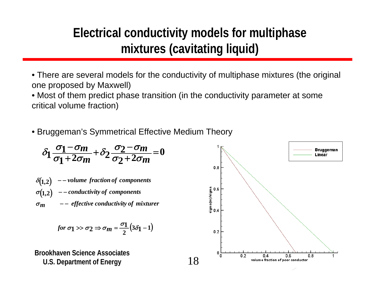### **Electrical conductivity models for multiphase mixtures (cavitating liquid)**

• There are several models for the conductivity of multiphase mixtures (the original one proposed by Maxwell)

• Most of them predict phase transition (in the conductivity parameter at some critical volume fraction)

• Bruggeman's Symmetrical Effective Medium Theory

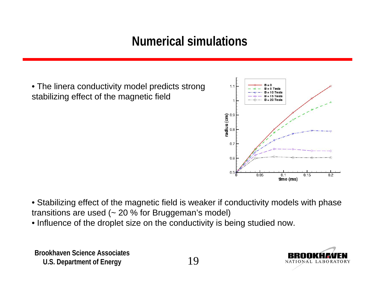### **Numerical simulations**

• The linera conductivity model predicts strong stabilizing effect of the magnetic field



- Stabilizing effect of the magnetic field is weaker if conductivity models with phase transitions are used  $($   $\sim$  20  $\%$  for Bruggeman's model)
- Influence of the droplet size on the conductivity is being studied now.